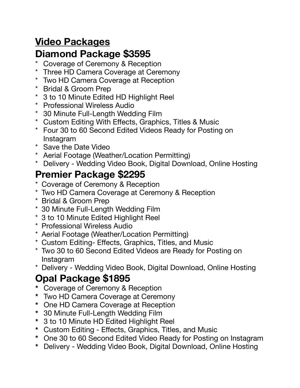## **Video Packages**

#### **Diamond Package \$3595**

- \* Coverage of Ceremony & Reception
- \* Three HD Camera Coverage at Ceremony
- \* Two HD Camera Coverage at Reception
- \* Bridal & Groom Prep
- \* 3 to 10 Minute Edited HD Highlight Reel
- \* Professional Wireless Audio
- \* 30 Minute Full-Length Wedding Film
- \* Custom Editing With Effects, Graphics, Titles & Music
- \* Four 30 to 60 Second Edited Videos Ready for Posting on Instagram
- \* Save the Date Video
- \* Aerial Footage (Weather/Location Permitting)
- \* Delivery Wedding Video Book, Digital Download, Online Hosting

#### **Premier Package \$2295**

- \* Coverage of Ceremony & Reception
- \* Two HD Camera Coverage at Ceremony & Reception
- \* Bridal & Groom Prep
- \* 30 Minute Full-Length Wedding Film
- \* 3 to 10 Minute Edited Highlight Reel
- \* Professional Wireless Audio
- \* Aerial Footage (Weather/Location Permitting)
- \* Custom Editing- Effects, Graphics, Titles, and Music
- \* Two 30 to 60 Second Edited Videos are Ready for Posting on Instagram
- \* Delivery Wedding Video Book, Digital Download, Online Hosting

## **Opal Package \$1895**

- **\*** Coverage of Ceremony & Reception
- **\*** Two HD Camera Coverage at Ceremony
- **\*** One HD Camera Coverage at Reception
- **\*** 30 Minute Full-Length Wedding Film
- **\*** 3 to 10 Minute HD Edited Highlight Reel
- **\*** Custom Editing Effects, Graphics, Titles, and Music
- **\*** One 30 to 60 Second Edited Video Ready for Posting on Instagram
- **\*** Delivery Wedding Video Book, Digital Download, Online Hosting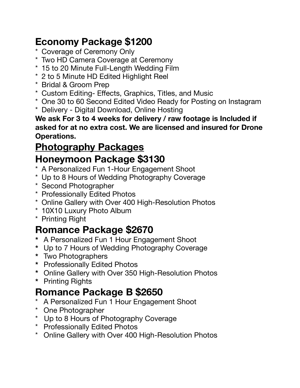# **Economy Package \$1200**

- \* Coverage of Ceremony Only
- \* Two HD Camera Coverage at Ceremony
- \* 15 to 20 Minute Full-Length Wedding Film
- \* 2 to 5 Minute HD Edited Highlight Reel
- \* Bridal & Groom Prep
- \* Custom Editing- Effects, Graphics, Titles, and Music
- \* One 30 to 60 Second Edited Video Ready for Posting on Instagram
- \* Delivery Digital Download, Online Hosting

**We ask For 3 to 4 weeks for delivery / raw footage is Included if asked for at no extra cost. We are licensed and insured for Drone Operations.** 

# **Photography Packages**

### **Honeymoon Package \$3130**

- \* A Personalized Fun 1-Hour Engagement Shoot
- \* Up to 8 Hours of Wedding Photography Coverage
- \* Second Photographer
- \* Professionally Edited Photos
- \* Online Gallery with Over 400 High-Resolution Photos
- \* 10X10 Luxury Photo Album
- \* Printing Right

## **Romance Package \$2670**

- **\*** A Personalized Fun 1 Hour Engagement Shoot
- **\*** Up to 7 Hours of Wedding Photography Coverage
- **\*** Two Photographers
- **\*** Professionally Edited Photos
- **\*** Online Gallery with Over 350 High-Resolution Photos
- **\*** Printing Rights

### **Romance Package B \$2650**

- \* A Personalized Fun 1 Hour Engagement Shoot
- \* One Photographer
- \* Up to 8 Hours of Photography Coverage
- \* Professionally Edited Photos
- \* Online Gallery with Over 400 High-Resolution Photos